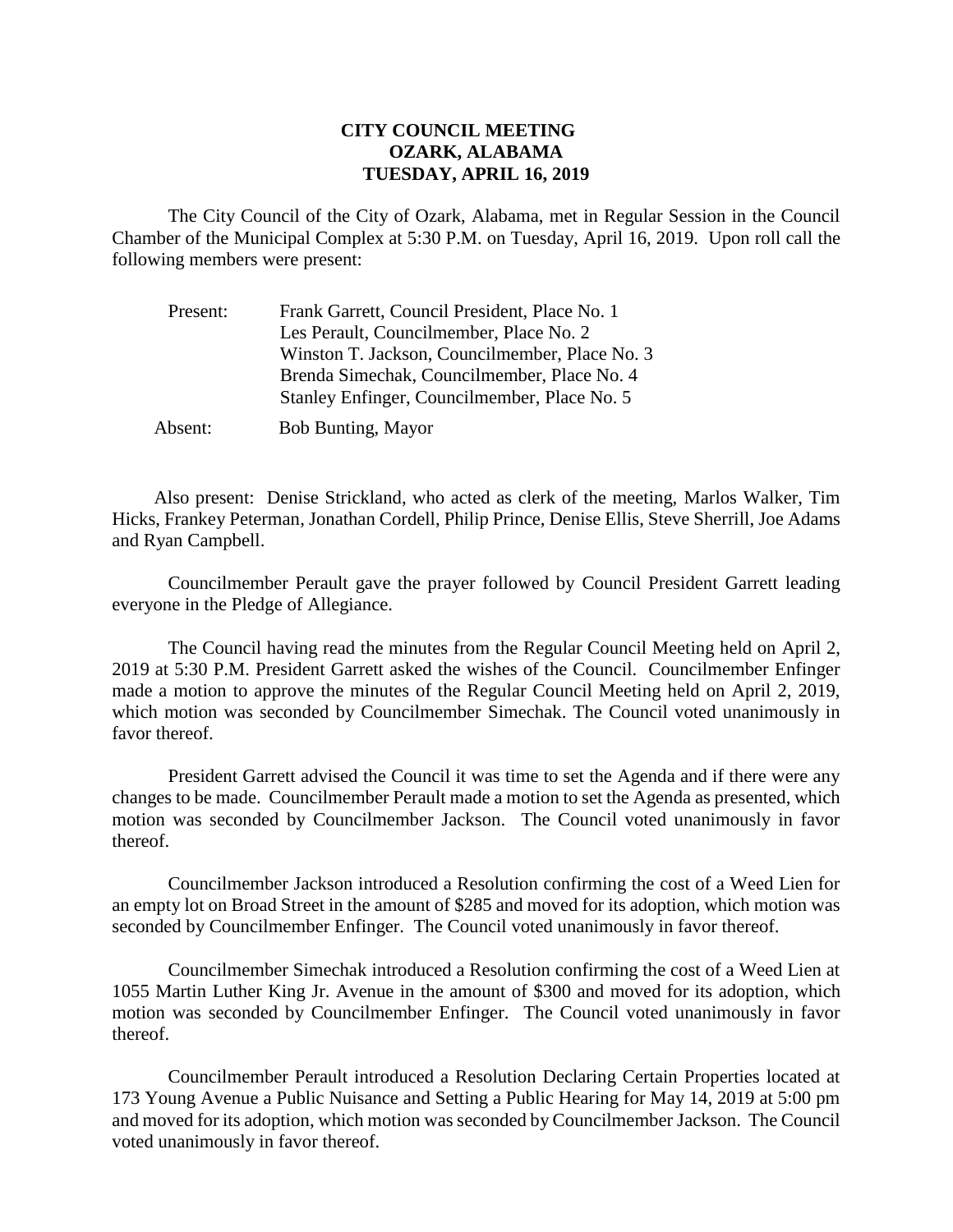## **CITY COUNCIL MEETING OZARK, ALABAMA TUESDAY, APRIL 16, 2019**

The City Council of the City of Ozark, Alabama, met in Regular Session in the Council Chamber of the Municipal Complex at 5:30 P.M. on Tuesday, April 16, 2019. Upon roll call the following members were present:

| Present: | Frank Garrett, Council President, Place No. 1  |
|----------|------------------------------------------------|
|          | Les Perault, Councilmember, Place No. 2        |
|          | Winston T. Jackson, Councilmember, Place No. 3 |
|          | Brenda Simechak, Councilmember, Place No. 4    |
|          | Stanley Enfinger, Councilmember, Place No. 5   |
| Absent:  | <b>Bob Bunting, Mayor</b>                      |

Also present: Denise Strickland, who acted as clerk of the meeting, Marlos Walker, Tim Hicks, Frankey Peterman, Jonathan Cordell, Philip Prince, Denise Ellis, Steve Sherrill, Joe Adams and Ryan Campbell.

Councilmember Perault gave the prayer followed by Council President Garrett leading everyone in the Pledge of Allegiance.

The Council having read the minutes from the Regular Council Meeting held on April 2, 2019 at 5:30 P.M. President Garrett asked the wishes of the Council. Councilmember Enfinger made a motion to approve the minutes of the Regular Council Meeting held on April 2, 2019, which motion was seconded by Councilmember Simechak. The Council voted unanimously in favor thereof.

President Garrett advised the Council it was time to set the Agenda and if there were any changes to be made. Councilmember Perault made a motion to set the Agenda as presented, which motion was seconded by Councilmember Jackson. The Council voted unanimously in favor thereof.

Councilmember Jackson introduced a Resolution confirming the cost of a Weed Lien for an empty lot on Broad Street in the amount of \$285 and moved for its adoption, which motion was seconded by Councilmember Enfinger. The Council voted unanimously in favor thereof.

Councilmember Simechak introduced a Resolution confirming the cost of a Weed Lien at 1055 Martin Luther King Jr. Avenue in the amount of \$300 and moved for its adoption, which motion was seconded by Councilmember Enfinger. The Council voted unanimously in favor thereof.

Councilmember Perault introduced a Resolution Declaring Certain Properties located at 173 Young Avenue a Public Nuisance and Setting a Public Hearing for May 14, 2019 at 5:00 pm and moved for its adoption, which motion was seconded by Councilmember Jackson. The Council voted unanimously in favor thereof.